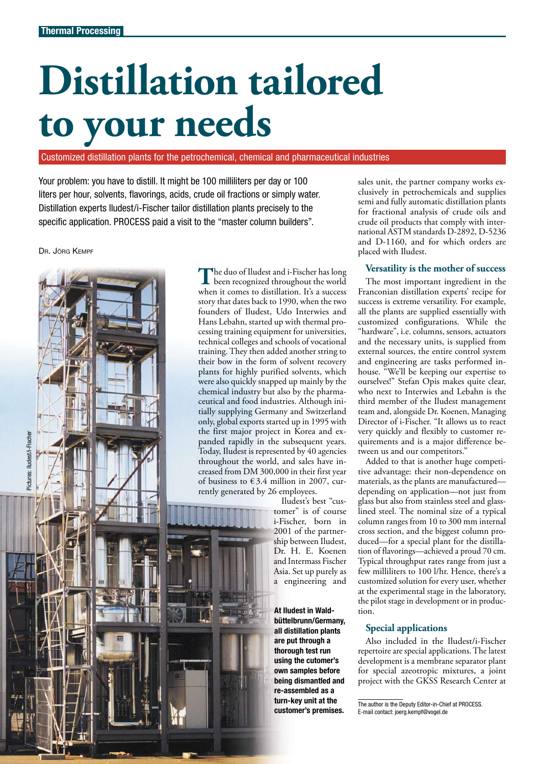# **Distillation tailored to your needs**

Customized distillation plants for the petrochemical, chemical and pharmaceutical industries

Your problem: you have to distill. It might be 100 milliliters per day or 100 liters per hour, solvents, flavorings, acids, crude oil fractions or simply water. Distillation experts Iludest/i-Fischer tailor distillation plants precisely to the specific application. PROCESS paid a visit to the "master column builders".

### DR. JÖRG KEMPF



The duo of Iludest and i-Fischer has long<br>when it comes to distillation. It's a success he duo of Iludest and i-Fischer has long been recognized throughout the world story that dates back to 1990, when the two founders of Iludest, Udo Interwies and Hans Lebahn, started up with thermal processing training equipment for universities, technical colleges and schools of vocational training.They then added another string to their bow in the form of solvent recovery plants for highly purified solvents, which were also quickly snapped up mainly by the chemical industry but also by the pharmaceutical and food industries. Although initially supplying Germany and Switzerland only, global exports started up in 1995 with the first major project in Korea and expanded rapidly in the subsequent years. Today, Iludest is represented by 40 agencies throughout the world, and sales have increased from DM 300,000 in their first year of business to  $\text{\large\ensuremath{\in}} 3.4$  million in 2007, currently generated by 26 employees.

Iludest's best "customer" is of course i-Fischer, born in 2001 of the partnership between Iludest, Dr. H. E. Koenen and Intermass Fischer Asia. Set up purely as a engineering and

At Iludest in Waldbüttelbrunn/Germany, all distillation plants are put through a thorough test run using the cutomer's own samples before being dismantled and re-assembled as a turn-key unit at the customer's premises.

sales unit, the partner company works exclusively in petrochemicals and supplies semi and fully automatic distillation plants for fractional analysis of crude oils and crude oil products that comply with international ASTM standards D-2892, D-5236 and D-1160, and for which orders are placed with Iludest.

### **Versatility is the mother of success**

The most important ingredient in the Franconian distillation experts' recipe for success is extreme versatility. For example, all the plants are supplied essentially with customized configurations. While the "hardware", i.e. columns, sensors, actuators and the necessary units, is supplied from external sources, the entire control system and engineering are tasks performed inhouse. "We'll be keeping our expertise to ourselves!" Stefan Opis makes quite clear, who next to Interwies and Lebahn is the third member of the Iludest management team and, alongside Dr. Koenen, Managing Director of i-Fischer. "It allows us to react very quickly and flexibly to customer requirements and is a major difference between us and our competitors."

Added to that is another huge competitive advantage: their non-dependence on materials, as the plants are manufactured depending on application—not just from glass but also from stainless steel and glasslined steel. The nominal size of a typical column ranges from 10 to 300 mm internal cross section, and the biggest column produced—for a special plant for the distillation of flavorings—achieved a proud 70 cm. Typical throughput rates range from just a few milliliters to 100 l/hr. Hence, there's a customized solution for every user, whether at the experimental stage in the laboratory, the pilot stage in development or in production.

## **Special applications**

Also included in the Iludest/i-Fischer repertoire are special applications.The latest development is a membrane separator plant for special azeotropic mixtures, a joint project with the GKSS Research Center at

The author is the Deputy Editor-in-Chief at PROCESS. E-mail contact: joerg.kempf@vogel.de